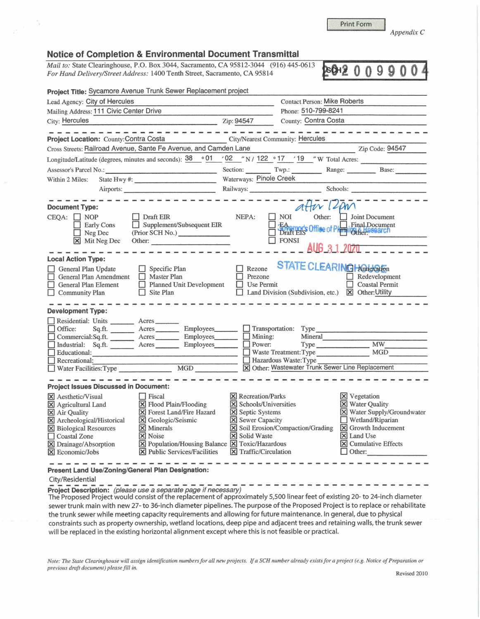Print Form

**BOH200990** 

*Appendix C* 

## **Notice of Completion** & **Environmental Document Transmittal**

*Mail to:* State Clearinghouse, P.O. Box 3044, Sacramento, CA 95812-3044 (916) 445-0613 *For Hand Delivery/Street Address:* 1400 Tenth Street, Sacramento, CA 95814

| Project Title: Sycamore Avenue Trunk Sewer Replacement project                                                                                                                                                                                                                                                                                                                                                             |                                                                                                                                                                                   |                                                                                                                                                                                                         |  |  |  |
|----------------------------------------------------------------------------------------------------------------------------------------------------------------------------------------------------------------------------------------------------------------------------------------------------------------------------------------------------------------------------------------------------------------------------|-----------------------------------------------------------------------------------------------------------------------------------------------------------------------------------|---------------------------------------------------------------------------------------------------------------------------------------------------------------------------------------------------------|--|--|--|
| Lead Agency: City of Hercules                                                                                                                                                                                                                                                                                                                                                                                              |                                                                                                                                                                                   | <b>Contact Person: Mike Roberts</b>                                                                                                                                                                     |  |  |  |
| Mailing Address: 111 Civic Center Drive                                                                                                                                                                                                                                                                                                                                                                                    | Phone: 510-799-8241                                                                                                                                                               |                                                                                                                                                                                                         |  |  |  |
| City: Hercules                                                                                                                                                                                                                                                                                                                                                                                                             | County: Contra Costa<br>Zip: 94547                                                                                                                                                |                                                                                                                                                                                                         |  |  |  |
|                                                                                                                                                                                                                                                                                                                                                                                                                            |                                                                                                                                                                                   |                                                                                                                                                                                                         |  |  |  |
| City/Nearest Community: Hercules<br>Project Location: County: Contra Costa                                                                                                                                                                                                                                                                                                                                                 |                                                                                                                                                                                   |                                                                                                                                                                                                         |  |  |  |
| Cross Streets: Railroad Avenue, Sante Fe Avenue, and Camden Lane                                                                                                                                                                                                                                                                                                                                                           |                                                                                                                                                                                   | Zip Code: 94547                                                                                                                                                                                         |  |  |  |
| Longitude/Latitude (degrees, minutes and seconds): 38 ° 01                                                                                                                                                                                                                                                                                                                                                                 |                                                                                                                                                                                   |                                                                                                                                                                                                         |  |  |  |
| Assessor's Parcel No.:                                                                                                                                                                                                                                                                                                                                                                                                     | Section: Twp.: Range: Base: Base:                                                                                                                                                 |                                                                                                                                                                                                         |  |  |  |
| Within 2 Miles:                                                                                                                                                                                                                                                                                                                                                                                                            | Waterways: Pinole Creek                                                                                                                                                           |                                                                                                                                                                                                         |  |  |  |
| Airports:                                                                                                                                                                                                                                                                                                                                                                                                                  | Railways: Schools: Schools:                                                                                                                                                       |                                                                                                                                                                                                         |  |  |  |
| <b>Document Type:</b><br>$CEQA:$ NOP<br>Draft EIR<br>Supplement/Subsequent EIR<br>Early Cons<br>(Prior SCH No.)<br>$\Box$ Neg Dec<br>X Mit Neg Dec<br>Other:                                                                                                                                                                                                                                                               | after 12pm<br>Other:<br>$\blacksquare$ NOI<br>NEPA:<br>BAnnar's Office of Philadelphia Document<br>$\Box$ FONSI                                                                   | Joint Document<br>AUG 3 1 2020                                                                                                                                                                          |  |  |  |
| <b>Local Action Type:</b><br><b>STATE CLEARING Hardwarfon</b><br>$\Box$ Rezone<br>General Plan Update<br>$\Box$ Specific Plan                                                                                                                                                                                                                                                                                              |                                                                                                                                                                                   |                                                                                                                                                                                                         |  |  |  |
| General Plan Amendment<br>$\Box$ Master Plan<br>Planned Unit Development<br>General Plan Element<br>$\Box$ Site Plan<br>Community Plan                                                                                                                                                                                                                                                                                     | Prezone<br>$\Box$ Use Permit<br>□ Land Division (Subdivision, etc.) ⊠ Other: Utility                                                                                              | $\Box$ Redevelopment<br><b>Coastal Permit</b>                                                                                                                                                           |  |  |  |
| <b>Development Type:</b>                                                                                                                                                                                                                                                                                                                                                                                                   |                                                                                                                                                                                   |                                                                                                                                                                                                         |  |  |  |
| Residential: Units ________ Acres<br>Sq.ft. _________ Acres __________ Employees _______ __ __ Transportation: Type<br>Office:<br>Commercial:Sq.ft. <u>Acres</u> Acres Employees<br>Industrial: Sq.ft. Acres Employees<br>Educational:<br>Recreational:<br>MGD<br>Water Facilities: Type                                                                                                                                   | Mining:<br>Power:<br>Mineral<br>Waste Treatment: Type<br>Hazardous Waste: Type<br>X Other: Wastewater Trunk Sewer Line Replacement                                                | Type MW<br><b>MGD</b>                                                                                                                                                                                   |  |  |  |
|                                                                                                                                                                                                                                                                                                                                                                                                                            |                                                                                                                                                                                   |                                                                                                                                                                                                         |  |  |  |
| <b>Project Issues Discussed in Document:</b>                                                                                                                                                                                                                                                                                                                                                                               |                                                                                                                                                                                   |                                                                                                                                                                                                         |  |  |  |
| <b>X</b> Aesthetic/Visual<br>Fiscal<br>X Flood Plain/Flooding<br>X Agricultural Land<br>X Forest Land/Fire Hazard<br>X Air Quality<br>X Geologic/Seismic<br>X Archeological/Historical<br>X Biological Resources<br>$\times$ Minerals<br>$\times$ Noise<br>Coastal Zone<br>X Population/Housing Balance X Toxic/Hazardous<br>X Drainage/Absorption<br>X Public Services/Facilities<br>$\vert\mathsf{X}\vert$ Economic/Jobs | <b>X</b> Recreation/Parks<br>X Schools/Universities<br>X Septic Systems<br>X Sewer Capacity<br>X Soil Erosion/Compaction/Grading<br><b>X</b> Solid Waste<br>X Traffic/Circulation | $\times$ Vegetation<br>X Water Quality<br>X Water Supply/Groundwater<br>$\Box$ Wetland/Riparian<br>X Growth Inducement<br>$\times$ Land Use<br>$\boxed{\mathsf{X}}$ Cumulative Effects<br>$\Box$ Other: |  |  |  |
| Present Land Use/Zoning/General Plan Designation:                                                                                                                                                                                                                                                                                                                                                                          |                                                                                                                                                                                   |                                                                                                                                                                                                         |  |  |  |

City/Residential<br>Project Description: (please use a separate page if necessary)

The Proposed Project would consist of the replacement of approximately 5,500 linear feet of existing 20- to 24-inch diameter sewer trunk main with new 27- to 36-inch diameter pipelines. The purpose of the Proposed Project is to replace or rehabilitate the trunk sewer while meeting capacity requirements and allowing for future maintenance. In general, due to physical constraints such as property ownership, wetland locations, deep pipe and adjacent trees and retaining walls, the trunk sewer will be replaced in the existing horizontal alignment except where this is not feasible or practical.

*Note: The State Clearinghouse will assign identification numbers for all new projects.* If *a SCH number already exists for a project ( e.g. Notice of Preparation or previous draft document) please fill in.*